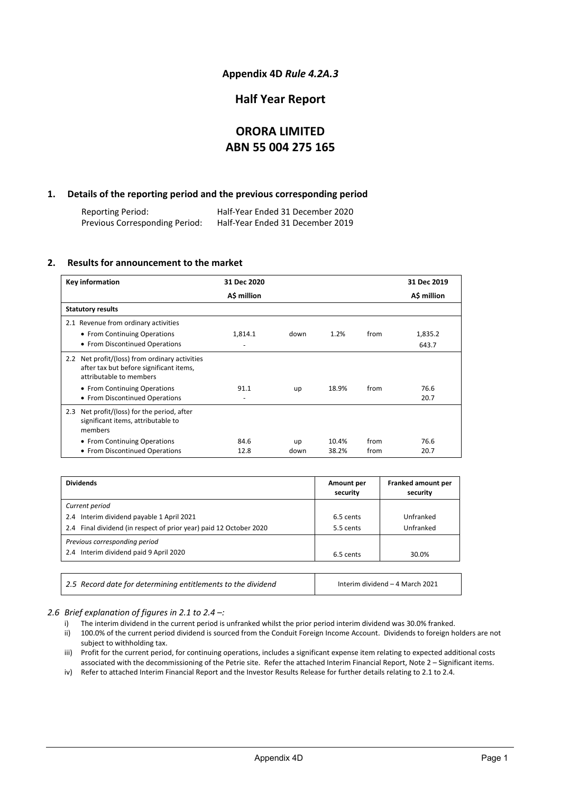### **Appendix 4D** *Rule 4.2A.3*

### **Half Year Report**

## **ORORA LIMITED ABN 55 004 275 165**

### **1. Details of the reporting period and the previous corresponding period**

Reporting Period: Half-Year Ended 31 December 2020 Previous Corresponding Period:

### **2. Results for announcement to the market**

| <b>Key information</b>                                                                                               | 31 Dec 2020 |      |       |      | 31 Dec 2019 |
|----------------------------------------------------------------------------------------------------------------------|-------------|------|-------|------|-------------|
|                                                                                                                      | A\$ million |      |       |      | A\$ million |
| <b>Statutory results</b>                                                                                             |             |      |       |      |             |
| 2.1 Revenue from ordinary activities                                                                                 |             |      |       |      |             |
| • From Continuing Operations                                                                                         | 1,814.1     | down | 1.2%  | from | 1,835.2     |
| • From Discontinued Operations                                                                                       |             |      |       |      | 643.7       |
| 2.2 Net profit/(loss) from ordinary activities<br>after tax but before significant items,<br>attributable to members |             |      |       |      |             |
| • From Continuing Operations                                                                                         | 91.1        | up   | 18.9% | from | 76.6        |
| • From Discontinued Operations                                                                                       |             |      |       |      | 20.7        |
| Net profit/(loss) for the period, after<br>2.3<br>significant items, attributable to<br>members                      |             |      |       |      |             |
| • From Continuing Operations                                                                                         | 84.6        | up   | 10.4% | from | 76.6        |
| • From Discontinued Operations                                                                                       | 12.8        | down | 38.2% | from | 20.7        |

| <b>Dividends</b>                                                   | Amount per<br>security | Franked amount per<br>security |
|--------------------------------------------------------------------|------------------------|--------------------------------|
| Current period                                                     |                        |                                |
| 2.4 Interim dividend payable 1 April 2021                          | 6.5 cents              | Unfranked                      |
| 2.4 Final dividend (in respect of prior year) paid 12 October 2020 | 5.5 cents              | Unfranked                      |
| Previous corresponding period                                      |                        |                                |
| 2.4 Interim dividend paid 9 April 2020                             | 6.5 cents              | 30.0%                          |

| 2.5 Record date for determining entitlements to the dividend | Interim dividend - 4 March 2021 |
|--------------------------------------------------------------|---------------------------------|
|                                                              |                                 |

### *2.6 Brief explanation of figures in 2.1 to 2.4 –:*

- i) The interim dividend in the current period is unfranked whilst the prior period interim dividend was 30.0% franked.
- ii) 100.0% of the current period dividend is sourced from the Conduit Foreign Income Account. Dividends to foreign holders are not subject to withholding tax.
- iii) Profit for the current period, for continuing operations, includes a significant expense item relating to expected additional costs associated with the decommissioning of the Petrie site. Refer the attached Interim Financial Report, Note 2 – Significant items.
- iv) Refer to attached Interim Financial Report and the Investor Results Release for further details relating to 2.1 to 2.4.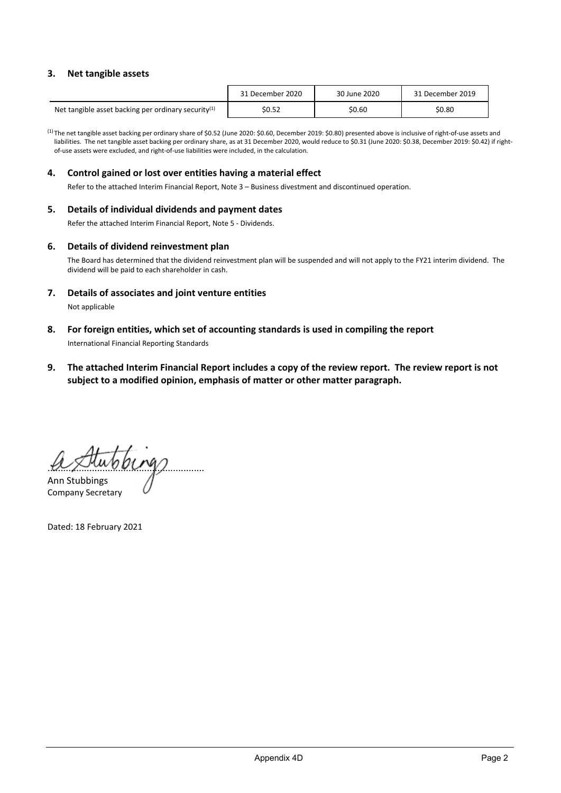### **3. Net tangible assets**

|                                                        | 31 December 2020 | 30 June 2020 | 31 December 2019 |
|--------------------------------------------------------|------------------|--------------|------------------|
| Net tangible asset backing per ordinary security $(1)$ | \$0.52           | \$0.60       | \$0.80           |

(1)The net tangible asset backing per ordinary share of \$0.52 (June 2020: \$0.60, December 2019: \$0.80) presented above is inclusive of right-of-use assets and liabilities. The net tangible asset backing per ordinary share, as at 31 December 2020, would reduce to \$0.31 (June 2020: \$0.38, December 2019: \$0.42) if rightof-use assets were excluded, and right-of-use liabilities were included, in the calculation.

### **4. Control gained or lost over entities having a material effect**

Refer to the attached Interim Financial Report, Note 3 – Business divestment and discontinued operation.

### **5. Details of individual dividends and payment dates**

Refer the attached Interim Financial Report, Note 5 - Dividends.

### **6. Details of dividend reinvestment plan**

The Board has determined that the dividend reinvestment plan will be suspended and will not apply to the FY21 interim dividend. The dividend will be paid to each shareholder in cash.

**7. Details of associates and joint venture entities**

Not applicable

- **8. For foreign entities, which set of accounting standards is used in compiling the report** International Financial Reporting Standards
- **9. The attached Interim Financial Report includes a copy of the review report. The review report is not subject to a modified opinion, emphasis of matter or other matter paragraph.**

............................................................ Ann Stubbings

Company Secretary

Dated: 18 February 2021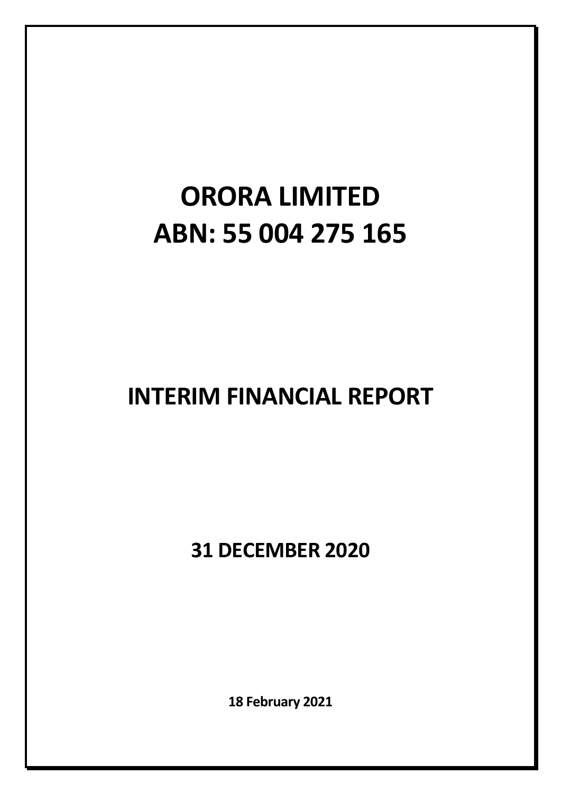# **ORORA LIMITED ABN: 55 004 275 165**

# **INTERIM FINANCIAL REPORT**

**31 DECEMBER 2020**

**18 February 2021**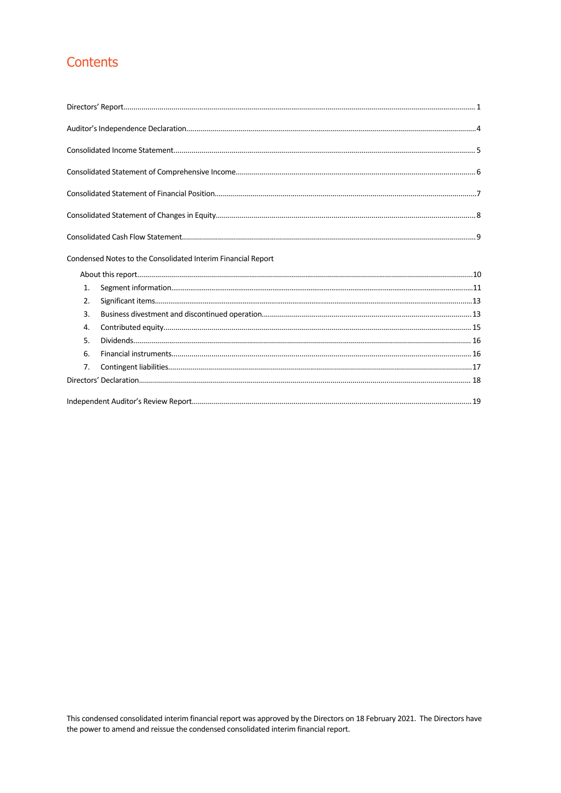# Contents

|                  | Condensed Notes to the Consolidated Interim Financial Report |  |
|------------------|--------------------------------------------------------------|--|
|                  |                                                              |  |
| 1.               |                                                              |  |
| 2.               |                                                              |  |
| $\overline{3}$ . |                                                              |  |
| 4.               |                                                              |  |
| 5.               |                                                              |  |
| 6.               |                                                              |  |
| 7.               |                                                              |  |
|                  |                                                              |  |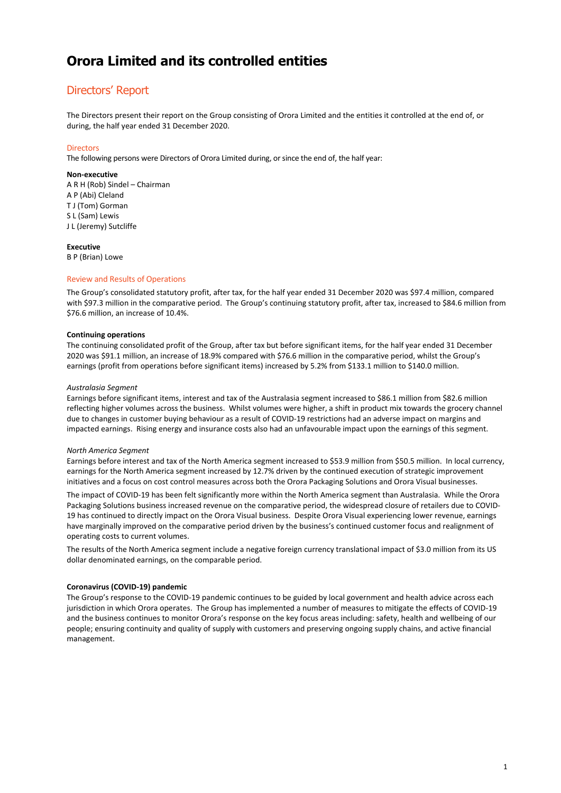### Directors' Report

The Directors present their report on the Group consisting of Orora Limited and the entities it controlled at the end of, or during, the half year ended 31 December 2020.

### **Directors**

The following persons were Directors of Orora Limited during, or since the end of, the half year:

#### **Non-executive**

A R H (Rob) Sindel – Chairman A P (Abi) Cleland T J (Tom) Gorman S L (Sam) Lewis J L (Jeremy) Sutcliffe

#### **Executive**

B P (Brian) Lowe

### Review and Results of Operations

The Group's consolidated statutory profit, after tax, for the half year ended 31 December 2020 was \$97.4 million, compared with \$97.3 million in the comparative period. The Group's continuing statutory profit, after tax, increased to \$84.6 million from \$76.6 million, an increase of 10.4%.

#### **Continuing operations**

The continuing consolidated profit of the Group, after tax but before significant items, for the half year ended 31 December 2020 was \$91.1 million, an increase of 18.9% compared with \$76.6 million in the comparative period, whilst the Group's earnings (profit from operations before significant items) increased by 5.2% from \$133.1 million to \$140.0 million.

#### *Australasia Segment*

Earnings before significant items, interest and tax of the Australasia segment increased to \$86.1 million from \$82.6 million reflecting higher volumes across the business. Whilst volumes were higher, a shift in product mix towards the grocery channel due to changes in customer buying behaviour as a result of COVID-19 restrictions had an adverse impact on margins and impacted earnings. Rising energy and insurance costs also had an unfavourable impact upon the earnings of this segment.

#### *North America Segment*

Earnings before interest and tax of the North America segment increased to \$53.9 million from \$50.5 million. In local currency, earnings for the North America segment increased by 12.7% driven by the continued execution of strategic improvement initiatives and a focus on cost control measures across both the Orora Packaging Solutions and Orora Visual businesses.

The impact of COVID-19 has been felt significantly more within the North America segment than Australasia. While the Orora Packaging Solutions business increased revenue on the comparative period, the widespread closure of retailers due to COVID-19 has continued to directly impact on the Orora Visual business. Despite Orora Visual experiencing lower revenue, earnings have marginally improved on the comparative period driven by the business's continued customer focus and realignment of operating costs to current volumes.

The results of the North America segment include a negative foreign currency translational impact of \$3.0 million from its US dollar denominated earnings, on the comparable period.

### **Coronavirus (COVID-19) pandemic**

The Group's response to the COVID-19 pandemic continues to be guided by local government and health advice across each jurisdiction in which Orora operates. The Group has implemented a number of measures to mitigate the effects of COVID-19 and the business continues to monitor Orora's response on the key focus areas including: safety, health and wellbeing of our people; ensuring continuity and quality of supply with customers and preserving ongoing supply chains, and active financial management.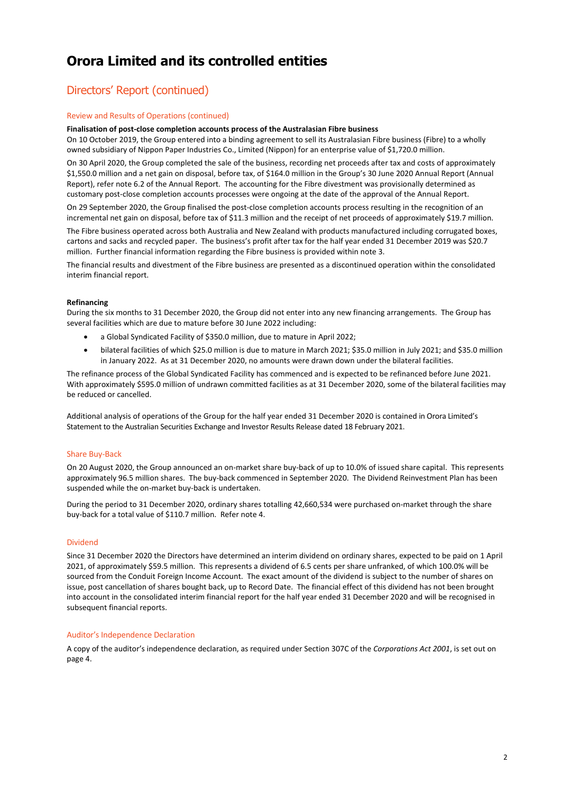# Directors' Report (continued)

### Review and Results of Operations (continued)

#### **Finalisation of post-close completion accounts process of the Australasian Fibre business**

On 10 October 2019, the Group entered into a binding agreement to sell its Australasian Fibre business (Fibre) to a wholly owned subsidiary of Nippon Paper Industries Co., Limited (Nippon) for an enterprise value of \$1,720.0 million.

On 30 April 2020, the Group completed the sale of the business, recording net proceeds after tax and costs of approximately \$1,550.0 million and a net gain on disposal, before tax, of \$164.0 million in the Group's 30 June 2020 Annual Report (Annual Report), refer note 6.2 of the Annual Report. The accounting for the Fibre divestment was provisionally determined as customary post-close completion accounts processes were ongoing at the date of the approval of the Annual Report.

On 29 September 2020, the Group finalised the post-close completion accounts process resulting in the recognition of an incremental net gain on disposal, before tax of \$11.3 million and the receipt of net proceeds of approximately \$19.7 million.

The Fibre business operated across both Australia and New Zealand with products manufactured including corrugated boxes, cartons and sacks and recycled paper. The business's profit after tax for the half year ended 31 December 2019 was \$20.7 million. Further financial information regarding the Fibre business is provided within note 3.

The financial results and divestment of the Fibre business are presented as a discontinued operation within the consolidated interim financial report.

#### **Refinancing**

During the six months to 31 December 2020, the Group did not enter into any new financing arrangements. The Group has several facilities which are due to mature before 30 June 2022 including:

- a Global Syndicated Facility of \$350.0 million, due to mature in April 2022;
- bilateral facilities of which \$25.0 million is due to mature in March 2021; \$35.0 million in July 2021; and \$35.0 million in January 2022. As at 31 December 2020, no amounts were drawn down under the bilateral facilities.

The refinance process of the Global Syndicated Facility has commenced and is expected to be refinanced before June 2021. With approximately \$595.0 million of undrawn committed facilities as at 31 December 2020, some of the bilateral facilities may be reduced or cancelled.

Additional analysis of operations of the Group for the half year ended 31 December 2020 is contained in Orora Limited's Statement to the Australian Securities Exchange and Investor Results Release dated 18 February 2021.

#### Share Buy-Back

On 20 August 2020, the Group announced an on-market share buy-back of up to 10.0% of issued share capital. This represents approximately 96.5 million shares. The buy-back commenced in September 2020. The Dividend Reinvestment Plan has been suspended while the on-market buy-back is undertaken.

During the period to 31 December 2020, ordinary shares totalling 42,660,534 were purchased on-market through the share buy-back for a total value of \$110.7 million. Refer note 4.

#### Dividend

Since 31 December 2020 the Directors have determined an interim dividend on ordinary shares, expected to be paid on 1 April 2021, of approximately \$59.5 million. This represents a dividend of 6.5 cents per share unfranked, of which 100.0% will be sourced from the Conduit Foreign Income Account. The exact amount of the dividend is subject to the number of shares on issue, post cancellation of shares bought back, up to Record Date. The financial effect of this dividend has not been brought into account in the consolidated interim financial report for the half year ended 31 December 2020 and will be recognised in subsequent financial reports.

#### Auditor's Independence Declaration

A copy of the auditor's independence declaration, as required under Section 307C of the *Corporations Act 2001*, is set out on page 4.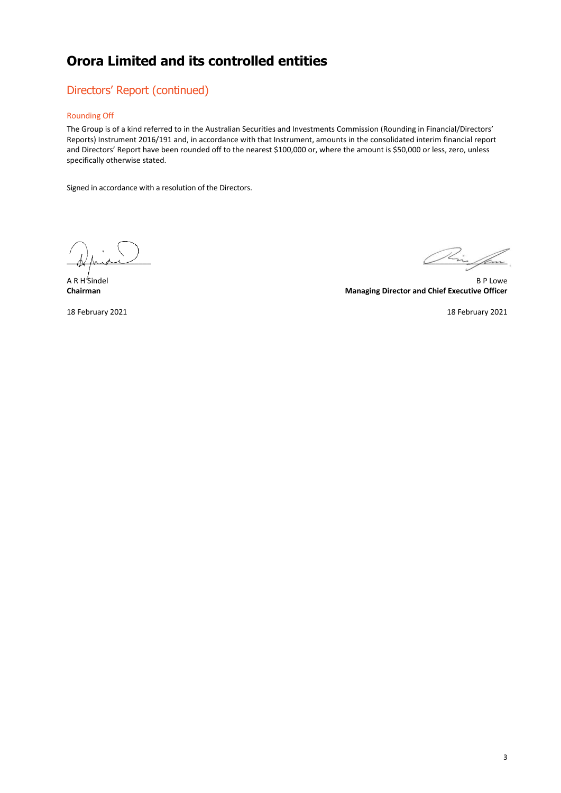### Directors' Report (continued)

### Rounding Off

The Group is of a kind referred to in the Australian Securities and Investments Commission (Rounding in Financial/Directors' Reports) Instrument 2016/191 and, in accordance with that Instrument, amounts in the consolidated interim financial report and Directors' Report have been rounded off to the nearest \$100,000 or, where the amount is \$50,000 or less, zero, unless specifically otherwise stated.

Signed in accordance with a resolution of the Directors.

 $\bigwedge_{i=1}^n \bigwedge_{i=1}^n \bigwedge_{j=1}^n \bigwedge_{i=1}^n \bigwedge_{j=1}^n \bigwedge_{j=1}^n \bigwedge_{j=1}^n \bigwedge_{j=1}^n \bigwedge_{j=1}^n \bigwedge_{j=1}^n \bigwedge_{j=1}^n \bigwedge_{j=1}^n \bigwedge_{j=1}^n \bigwedge_{j=1}^n \bigwedge_{j=1}^n \bigwedge_{j=1}^n \bigwedge_{j=1}^n \bigwedge_{j=1}^n \bigwedge_{j=1}^n \bigwedge_{j=1}^n$ 

A R H Sindel B P Lowe **Chairman Managing Director and Chief Executive Officer**

18 February 2021 18 February 2021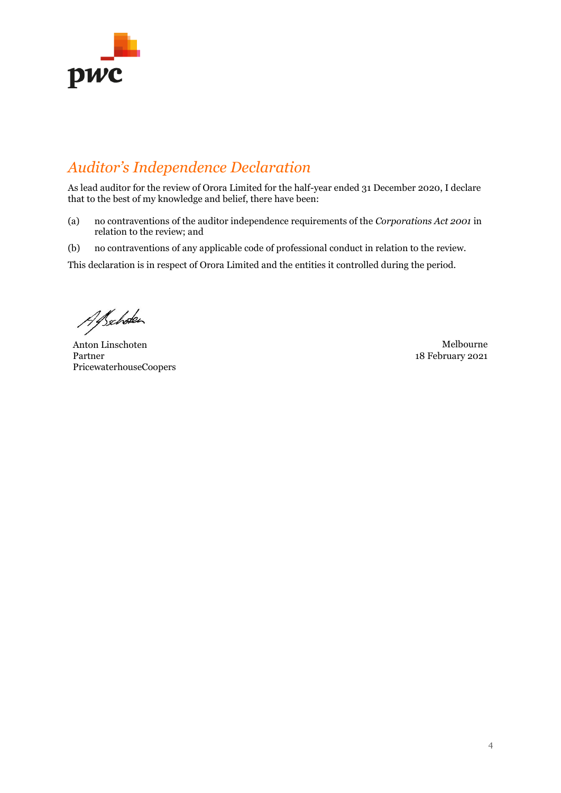

# *Auditor's Independence Declaration*

As lead auditor for the review of Orora Limited for the half-year ended 31 December 2020, I declare that to the best of my knowledge and belief, there have been:

- (a) no contraventions of the auditor independence requirements of the *Corporations Act 2001* in relation to the review; and
- (b) no contraventions of any applicable code of professional conduct in relation to the review.

This declaration is in respect of Orora Limited and the entities it controlled during the period.

Alsehoken

Anton Linschoten Melbourne Partner PricewaterhouseCoopers

18 February 2021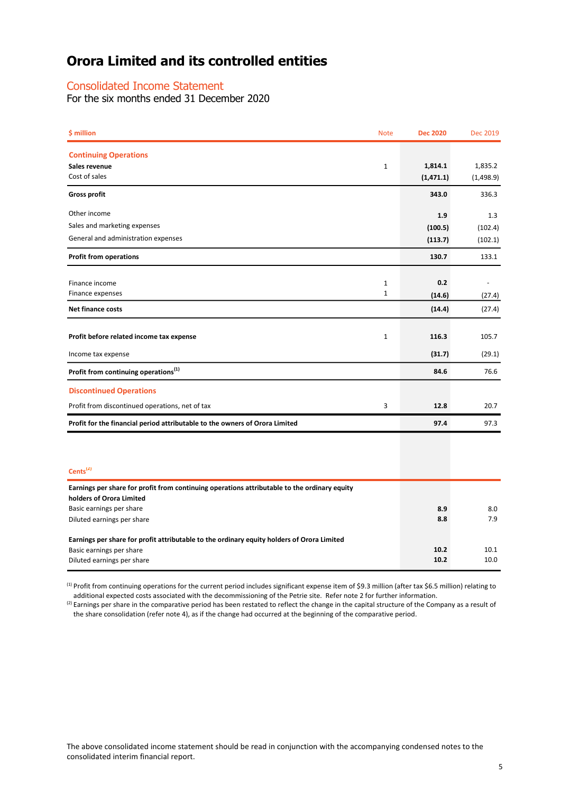### Consolidated Income Statement

For the six months ended 31 December 2020

| \$ million                                                                                   | <b>Note</b>  | <b>Dec 2020</b>       | Dec 2019             |
|----------------------------------------------------------------------------------------------|--------------|-----------------------|----------------------|
| <b>Continuing Operations</b><br>Sales revenue<br>Cost of sales                               | $\mathbf{1}$ | 1,814.1<br>(1, 471.1) | 1,835.2<br>(1,498.9) |
| <b>Gross profit</b>                                                                          |              | 343.0                 | 336.3                |
| Other income                                                                                 |              | 1.9                   | 1.3                  |
| Sales and marketing expenses                                                                 |              | (100.5)               | (102.4)              |
| General and administration expenses                                                          |              | (113.7)               | (102.1)              |
| <b>Profit from operations</b>                                                                |              | 130.7                 | 133.1                |
| Finance income                                                                               | $\mathbf{1}$ | 0.2                   |                      |
| Finance expenses                                                                             | $\mathbf{1}$ | (14.6)                | (27.4)               |
| <b>Net finance costs</b>                                                                     |              | (14.4)                | (27.4)               |
| Profit before related income tax expense                                                     | $\mathbf{1}$ | 116.3                 | 105.7                |
| Income tax expense                                                                           |              | (31.7)                | (29.1)               |
| Profit from continuing operations <sup>(1)</sup>                                             |              | 84.6                  | 76.6                 |
| <b>Discontinued Operations</b>                                                               |              |                       |                      |
| Profit from discontinued operations, net of tax                                              | 3            | 12.8                  | 20.7                 |
| Profit for the financial period attributable to the owners of Orora Limited                  |              | 97.4                  | 97.3                 |
|                                                                                              |              |                       |                      |
| Cents <sup>(2)</sup>                                                                         |              |                       |                      |
| Earnings per share for profit from continuing operations attributable to the ordinary equity |              |                       |                      |
| holders of Orora Limited<br>Basic earnings per share                                         |              | 8.9                   | 8.0                  |
| Diluted earnings per share                                                                   |              | 8.8                   | 7.9                  |
| Earnings per share for profit attributable to the ordinary equity holders of Orora Limited   |              |                       |                      |
| Basic earnings per share<br>Diluted earnings per share                                       |              | 10.2<br>10.2          | 10.1<br>10.0         |
|                                                                                              |              |                       |                      |

<sup>(1)</sup> Profit from continuing operations for the current period includes significant expense item of \$9.3 million (after tax \$6.5 million) relating to additional expected costs associated with the decommissioning of the Petrie site. Refer note 2 for further information.

 $^{(2)}$  Earnings per share in the comparative period has been restated to reflect the change in the capital structure of the Company as a result of the share consolidation (refer note 4), as if the change had occurred at the beginning of the comparative period.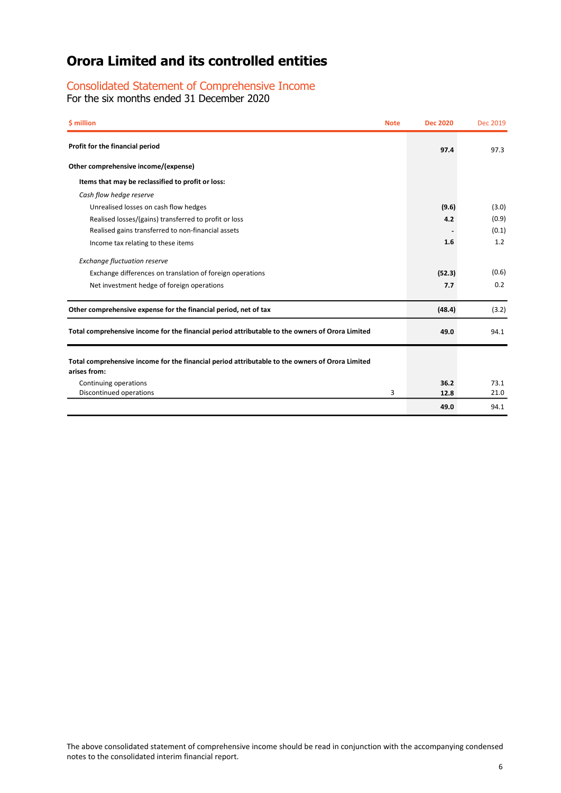### Consolidated Statement of Comprehensive Income

For the six months ended 31 December 2020

| \$ million<br><b>Note</b>                                                                                       | <b>Dec 2020</b> | Dec 2019 |
|-----------------------------------------------------------------------------------------------------------------|-----------------|----------|
| Profit for the financial period                                                                                 | 97.4            | 97.3     |
| Other comprehensive income/(expense)                                                                            |                 |          |
| Items that may be reclassified to profit or loss:                                                               |                 |          |
| Cash flow hedge reserve                                                                                         |                 |          |
| Unrealised losses on cash flow hedges                                                                           | (9.6)           | (3.0)    |
| Realised losses/(gains) transferred to profit or loss                                                           | 4.2             | (0.9)    |
| Realised gains transferred to non-financial assets                                                              |                 | (0.1)    |
| Income tax relating to these items                                                                              | 1.6             | 1.2      |
| <b>Exchange fluctuation reserve</b>                                                                             |                 |          |
| Exchange differences on translation of foreign operations                                                       | (52.3)          | (0.6)    |
| Net investment hedge of foreign operations                                                                      | 7.7             | 0.2      |
| Other comprehensive expense for the financial period, net of tax                                                | (48.4)          | (3.2)    |
| Total comprehensive income for the financial period attributable to the owners of Orora Limited                 | 49.0            | 94.1     |
| Total comprehensive income for the financial period attributable to the owners of Orora Limited<br>arises from: |                 |          |
| Continuing operations                                                                                           | 36.2            | 73.1     |
| Discontinued operations<br>3                                                                                    | 12.8            | 21.0     |
|                                                                                                                 | 49.0            | 94.1     |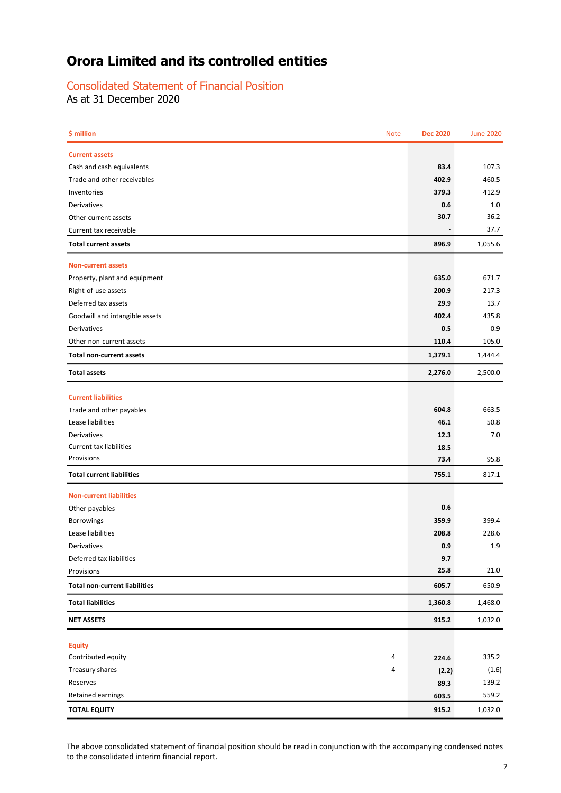### Consolidated Statement of Financial Position

As at 31 December 2020

| \$ million<br><b>Note</b>            | <b>Dec 2020</b> | <b>June 2020</b> |
|--------------------------------------|-----------------|------------------|
| <b>Current assets</b>                |                 |                  |
| Cash and cash equivalents            | 83.4            | 107.3            |
| Trade and other receivables          | 402.9           | 460.5            |
| Inventories                          | 379.3           | 412.9            |
| Derivatives                          | 0.6             | 1.0              |
| Other current assets                 | 30.7            | 36.2             |
| Current tax receivable               |                 | 37.7             |
| <b>Total current assets</b>          | 896.9           | 1,055.6          |
| <b>Non-current assets</b>            |                 |                  |
| Property, plant and equipment        | 635.0           | 671.7            |
| Right-of-use assets                  | 200.9           | 217.3            |
| Deferred tax assets                  | 29.9            | 13.7             |
| Goodwill and intangible assets       | 402.4           | 435.8            |
| <b>Derivatives</b>                   | 0.5             | 0.9              |
| Other non-current assets             | 110.4           | 105.0            |
| <b>Total non-current assets</b>      | 1,379.1         | 1,444.4          |
| <b>Total assets</b>                  | 2,276.0         | 2,500.0          |
| <b>Current liabilities</b>           |                 |                  |
| Trade and other payables             | 604.8           | 663.5            |
| Lease liabilities                    | 46.1            | 50.8             |
| Derivatives                          | 12.3            | 7.0              |
| Current tax liabilities              | 18.5            |                  |
| Provisions                           | 73.4            | 95.8             |
| <b>Total current liabilities</b>     | 755.1           | 817.1            |
| <b>Non-current liabilities</b>       |                 |                  |
| Other payables                       | 0.6             |                  |
| <b>Borrowings</b>                    | 359.9           | 399.4            |
| Lease liabilities                    | 208.8           | 228.6            |
| Derivatives                          | 0.9             | 1.9              |
| Deferred tax liabilities             | 9.7             |                  |
| Provisions                           | 25.8            | 21.0             |
| <b>Total non-current liabilities</b> | 605.7           | 650.9            |
| <b>Total liabilities</b>             | 1,360.8         | 1,468.0          |
| <b>NET ASSETS</b>                    | 915.2           | 1,032.0          |
| <b>Equity</b>                        |                 |                  |
| Contributed equity<br>4              | 224.6           | 335.2            |
| Treasury shares<br>4                 | (2.2)           | (1.6)            |
| Reserves                             | 89.3            | 139.2            |
| Retained earnings                    | 603.5           | 559.2            |
| <b>TOTAL EQUITY</b>                  | 915.2           | 1,032.0          |

The above consolidated statement of financial position should be read in conjunction with the accompanying condensed notes to the consolidated interim financial report.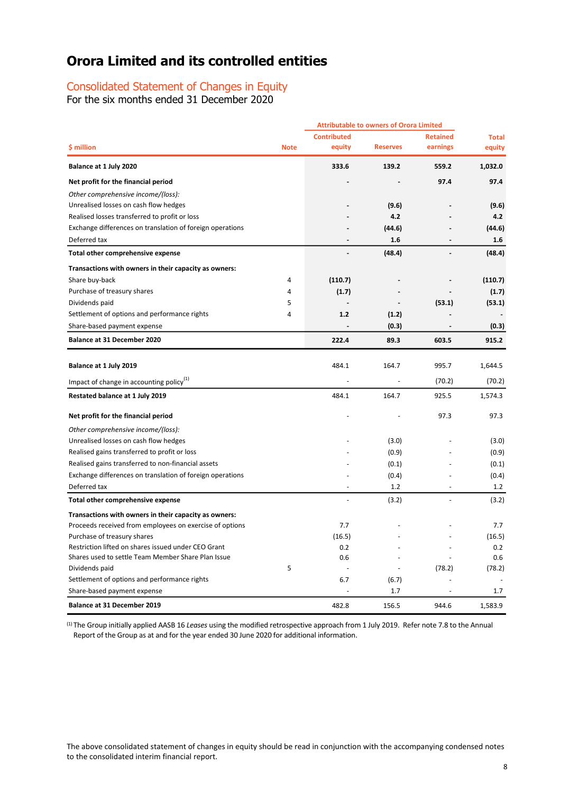### Consolidated Statement of Changes in Equity

For the six months ended 31 December 2020

|                                                           |             | <b>Attributable to owners of Orora Limited</b> |                 |                              |              |
|-----------------------------------------------------------|-------------|------------------------------------------------|-----------------|------------------------------|--------------|
|                                                           |             | <b>Contributed</b>                             |                 | <b>Retained</b>              | <b>Total</b> |
| \$ million                                                | <b>Note</b> | equity                                         | <b>Reserves</b> | earnings                     | equity       |
| Balance at 1 July 2020                                    |             | 333.6                                          | 139.2           | 559.2                        | 1,032.0      |
| Net profit for the financial period                       |             |                                                |                 | 97.4                         | 97.4         |
| Other comprehensive income/(loss):                        |             |                                                |                 |                              |              |
| Unrealised losses on cash flow hedges                     |             |                                                | (9.6)           |                              | (9.6)        |
| Realised losses transferred to profit or loss             |             |                                                | 4.2             |                              | 4.2          |
| Exchange differences on translation of foreign operations |             |                                                | (44.6)          |                              | (44.6)       |
| Deferred tax                                              |             |                                                | 1.6             | $\overline{a}$               | 1.6          |
| Total other comprehensive expense                         |             |                                                | (48.4)          |                              | (48.4)       |
| Transactions with owners in their capacity as owners:     |             |                                                |                 |                              |              |
| Share buy-back                                            | 4           | (110.7)                                        |                 |                              | (110.7)      |
| Purchase of treasury shares                               | 4           | (1.7)                                          |                 |                              | (1.7)        |
| Dividends paid                                            | 5           |                                                |                 | (53.1)                       | (53.1)       |
| Settlement of options and performance rights              | 4           | 1.2                                            | (1.2)           |                              |              |
| Share-based payment expense                               |             | $\qquad \qquad \blacksquare$                   | (0.3)           | $\qquad \qquad \blacksquare$ | (0.3)        |
| Balance at 31 December 2020                               |             | 222.4                                          | 89.3            | 603.5                        | 915.2        |
|                                                           |             |                                                |                 |                              |              |
| Balance at 1 July 2019                                    |             | 484.1                                          | 164.7           | 995.7                        | 1,644.5      |
| Impact of change in accounting policy <sup>(1)</sup>      |             |                                                |                 | (70.2)                       | (70.2)       |
| Restated balance at 1 July 2019                           |             | 484.1                                          | 164.7           | 925.5                        | 1,574.3      |
| Net profit for the financial period                       |             |                                                |                 | 97.3                         | 97.3         |
| Other comprehensive income/(loss):                        |             |                                                |                 |                              |              |
| Unrealised losses on cash flow hedges                     |             |                                                | (3.0)           |                              | (3.0)        |
| Realised gains transferred to profit or loss              |             |                                                | (0.9)           |                              | (0.9)        |
| Realised gains transferred to non-financial assets        |             |                                                | (0.1)           |                              | (0.1)        |
| Exchange differences on translation of foreign operations |             |                                                | (0.4)           |                              | (0.4)        |
| Deferred tax                                              |             |                                                | 1.2             |                              | 1.2          |
| Total other comprehensive expense                         |             |                                                | (3.2)           |                              | (3.2)        |
| Transactions with owners in their capacity as owners:     |             |                                                |                 |                              |              |
| Proceeds received from employees on exercise of options   |             | 7.7                                            |                 |                              | 7.7          |
| Purchase of treasury shares                               |             | (16.5)                                         |                 |                              | (16.5)       |
| Restriction lifted on shares issued under CEO Grant       |             | 0.2                                            |                 |                              | 0.2          |
| Shares used to settle Team Member Share Plan Issue        |             | 0.6                                            |                 |                              | 0.6          |
| Dividends paid                                            | 5           |                                                |                 | (78.2)                       | (78.2)       |
| Settlement of options and performance rights              |             | 6.7                                            | (6.7)           |                              |              |
| Share-based payment expense                               |             |                                                | 1.7             |                              | 1.7          |
| <b>Balance at 31 December 2019</b>                        |             | 482.8                                          | 156.5           | 944.6                        | 1,583.9      |

(1) The Group initially applied AASB 16 *Leases* using the modified retrospective approach from 1 July 2019. Refer note 7.8 to the Annual Report of the Group as at and for the year ended 30 June 2020 for additional information.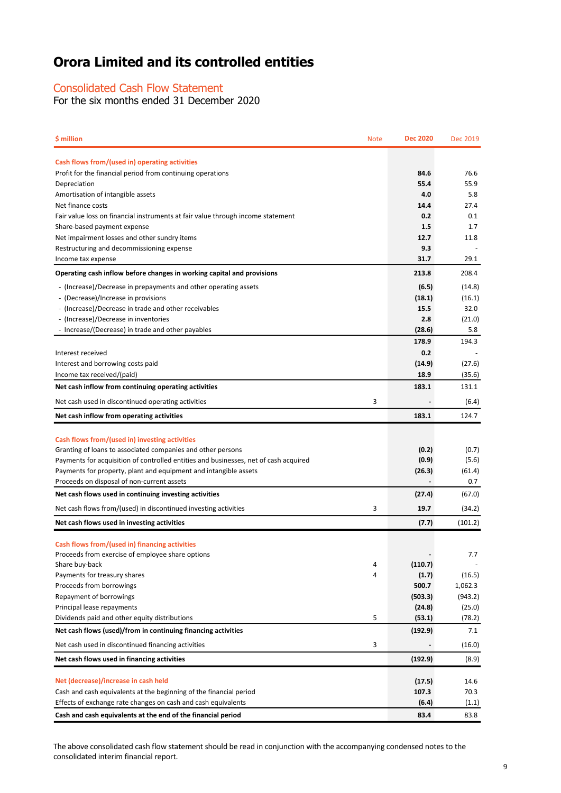### Consolidated Cash Flow Statement

For the six months ended 31 December 2020

| \$ million                                                                                                   | <b>Note</b> | <b>Dec 2020</b> | Dec 2019 |
|--------------------------------------------------------------------------------------------------------------|-------------|-----------------|----------|
|                                                                                                              |             |                 |          |
| Cash flows from/(used in) operating activities<br>Profit for the financial period from continuing operations |             | 84.6            | 76.6     |
| Depreciation                                                                                                 |             | 55.4            | 55.9     |
| Amortisation of intangible assets                                                                            |             | 4.0             | 5.8      |
| Net finance costs                                                                                            |             | 14.4            | 27.4     |
| Fair value loss on financial instruments at fair value through income statement                              |             | 0.2             | 0.1      |
| Share-based payment expense                                                                                  |             | 1.5             | 1.7      |
| Net impairment losses and other sundry items                                                                 |             | 12.7            | 11.8     |
| Restructuring and decommissioning expense                                                                    |             | 9.3             |          |
| Income tax expense                                                                                           |             | 31.7            | 29.1     |
| Operating cash inflow before changes in working capital and provisions                                       |             | 213.8           | 208.4    |
| - (Increase)/Decrease in prepayments and other operating assets                                              |             | (6.5)           | (14.8)   |
| - (Decrease)/Increase in provisions                                                                          |             | (18.1)          | (16.1)   |
| - (Increase)/Decrease in trade and other receivables                                                         |             | 15.5            | 32.0     |
| - (Increase)/Decrease in inventories                                                                         |             | 2.8             | (21.0)   |
| - Increase/(Decrease) in trade and other payables                                                            |             | (28.6)          | 5.8      |
|                                                                                                              |             | 178.9           | 194.3    |
| Interest received                                                                                            |             | 0.2             |          |
| Interest and borrowing costs paid                                                                            |             | (14.9)          | (27.6)   |
| Income tax received/(paid)                                                                                   |             | 18.9            | (35.6)   |
| Net cash inflow from continuing operating activities                                                         |             | 183.1           | 131.1    |
| Net cash used in discontinued operating activities                                                           | 3           |                 | (6.4)    |
| Net cash inflow from operating activities                                                                    |             | 183.1           | 124.7    |
|                                                                                                              |             |                 |          |
| Cash flows from/(used in) investing activities                                                               |             |                 |          |
| Granting of loans to associated companies and other persons                                                  |             | (0.2)           | (0.7)    |
| Payments for acquisition of controlled entities and businesses, net of cash acquired                         |             | (0.9)           | (5.6)    |
| Payments for property, plant and equipment and intangible assets                                             |             | (26.3)          | (61.4)   |
| Proceeds on disposal of non-current assets                                                                   |             |                 | 0.7      |
| Net cash flows used in continuing investing activities                                                       |             | (27.4)          | (67.0)   |
| Net cash flows from/(used) in discontinued investing activities                                              | 3           | 19.7            | (34.2)   |
|                                                                                                              |             |                 |          |
| Net cash flows used in investing activities                                                                  |             | (7.7)           | (101.2)  |
| Cash flows from/(used in) financing activities                                                               |             |                 |          |
| Proceeds from exercise of employee share options                                                             |             |                 | 7.7      |
| Share buy-back                                                                                               | 4           | (110.7)         |          |
| Payments for treasury shares                                                                                 | 4           | (1.7)           | (16.5)   |
| Proceeds from borrowings                                                                                     |             | 500.7           | 1,062.3  |
| Repayment of borrowings                                                                                      |             | (503.3)         | (943.2)  |
| Principal lease repayments                                                                                   |             | (24.8)          | (25.0)   |
| Dividends paid and other equity distributions                                                                | 5           | (53.1)          | (78.2)   |
| Net cash flows (used)/from in continuing financing activities                                                |             | (192.9)         | 7.1      |
| Net cash used in discontinued financing activities                                                           | 3           |                 | (16.0)   |
| Net cash flows used in financing activities                                                                  |             | (192.9)         | (8.9)    |
|                                                                                                              |             |                 |          |
| Net (decrease)/increase in cash held                                                                         |             | (17.5)          | 14.6     |
| Cash and cash equivalents at the beginning of the financial period                                           |             | 107.3           | 70.3     |
| Effects of exchange rate changes on cash and cash equivalents                                                |             | (6.4)           | (1.1)    |
| Cash and cash equivalents at the end of the financial period                                                 |             | 83.4            | 83.8     |

The above consolidated cash flow statement should be read in conjunction with the accompanying condensed notes to the consolidated interim financial report.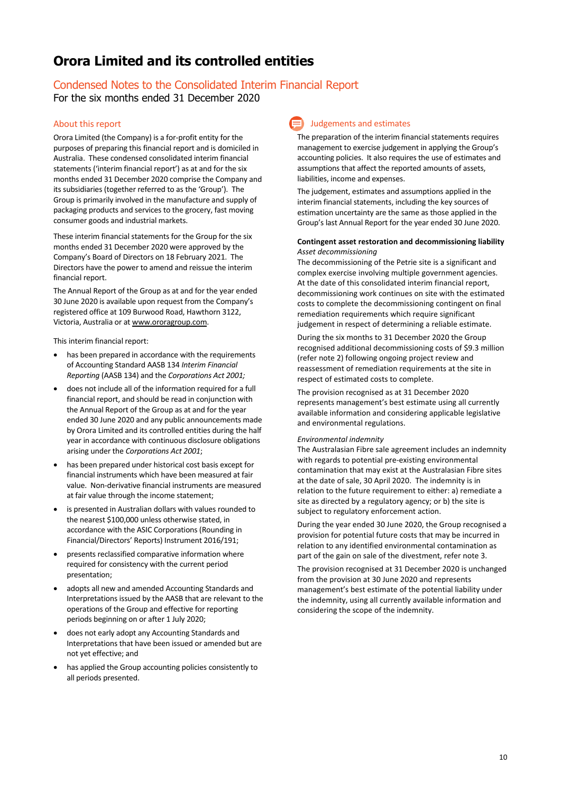### Condensed Notes to the Consolidated Interim Financial Report

For the six months ended 31 December 2020

### About this report

Orora Limited (the Company) is a for-profit entity for the purposes of preparing this financial report and is domiciled in Australia. These condensed consolidated interim financial statements ('interim financial report') as at and for the six months ended 31 December 2020 comprise the Company and its subsidiaries (together referred to as the 'Group'). The Group is primarily involved in the manufacture and supply of packaging products and services to the grocery, fast moving consumer goods and industrial markets.

These interim financial statements for the Group for the six months ended 31 December 2020 were approved by the Company's Board of Directors on 18 February 2021. The Directors have the power to amend and reissue the interim financial report.

The Annual Report of the Group as at and for the year ended 30 June 2020 is available upon request from the Company's registered office at 109 Burwood Road, Hawthorn 3122, Victoria, Australia or a[t www.ororagroup.com.](http://www.ororagroup.com/)

This interim financial report:

- has been prepared in accordance with the requirements of Accounting Standard AASB 134 *Interim Financial Reporting* (AASB 134) and the *Corporations Act 2001;*
- does not include all of the information required for a full financial report, and should be read in conjunction with the Annual Report of the Group as at and for the year ended 30 June 2020 and any public announcements made by Orora Limited and its controlled entities during the half year in accordance with continuous disclosure obligations arising under the *Corporations Act 2001*;
- has been prepared under historical cost basis except for financial instruments which have been measured at fair value. Non-derivative financial instruments are measured at fair value through the income statement;
- is presented in Australian dollars with values rounded to the nearest \$100,000 unless otherwise stated, in accordance with the ASIC Corporations (Rounding in Financial/Directors' Reports) Instrument 2016/191;
- presents reclassified comparative information where required for consistency with the current period presentation;
- adopts all new and amended Accounting Standards and Interpretations issued by the AASB that are relevant to the operations of the Group and effective for reporting periods beginning on or after 1 July 2020;
- does not early adopt any Accounting Standards and Interpretations that have been issued or amended but are not yet effective; and
- has applied the Group accounting policies consistently to all periods presented.

### Judgements and estimates

The preparation of the interim financial statements requires management to exercise judgement in applying the Group's accounting policies. It also requires the use of estimates and assumptions that affect the reported amounts of assets, liabilities, income and expenses.

The judgement, estimates and assumptions applied in the interim financial statements, including the key sources of estimation uncertainty are the same as those applied in the Group's last Annual Report for the year ended 30 June 2020.

### **Contingent asset restoration and decommissioning liability** *Asset decommissioning*

The decommissioning of the Petrie site is a significant and complex exercise involving multiple government agencies. At the date of this consolidated interim financial report, decommissioning work continues on site with the estimated costs to complete the decommissioning contingent on final remediation requirements which require significant judgement in respect of determining a reliable estimate.

During the six months to 31 December 2020 the Group recognised additional decommissioning costs of \$9.3 million (refer note 2) following ongoing project review and reassessment of remediation requirements at the site in respect of estimated costs to complete.

The provision recognised as at 31 December 2020 represents management's best estimate using all currently available information and considering applicable legislative and environmental regulations.

#### *Environmental indemnity*

The Australasian Fibre sale agreement includes an indemnity with regards to potential pre-existing environmental contamination that may exist at the Australasian Fibre sites at the date of sale, 30 April 2020. The indemnity is in relation to the future requirement to either: a) remediate a site as directed by a regulatory agency; or b) the site is subject to regulatory enforcement action.

During the year ended 30 June 2020, the Group recognised a provision for potential future costs that may be incurred in relation to any identified environmental contamination as part of the gain on sale of the divestment, refer note 3.

The provision recognised at 31 December 2020 is unchanged from the provision at 30 June 2020 and represents management's best estimate of the potential liability under the indemnity, using all currently available information and considering the scope of the indemnity.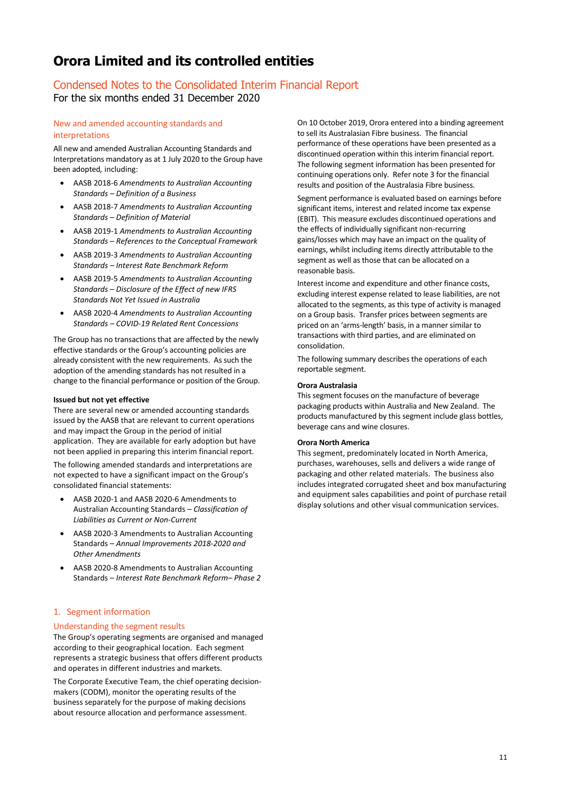### Condensed Notes to the Consolidated Interim Financial Report For the six months ended 31 December 2020

### New and amended accounting standards and interpretations

All new and amended Australian Accounting Standards and Interpretations mandatory as at 1 July 2020 to the Group have been adopted*,* including:

- AASB 2018-6 *Amendments to Australian Accounting Standards – Definition of a Business*
- AASB 2018-7 *Amendments to Australian Accounting Standards – Definition of Material*
- AASB 2019-1 *Amendments to Australian Accounting Standards – References to the Conceptual Framework*
- AASB 2019-3 *Amendments to Australian Accounting Standards – Interest Rate Benchmark Reform*
- AASB 2019-5 *Amendments to Australian Accounting Standards – Disclosure of the Effect of new IFRS Standards Not Yet Issued in Australia*
- AASB 2020-4 *Amendments to Australian Accounting Standards – COVID-19 Related Rent Concessions*

The Group has no transactions that are affected by the newly effective standards or the Group's accounting policies are already consistent with the new requirements. As such the adoption of the amending standards has not resulted in a change to the financial performance or position of the Group.

### **Issued but not yet effective**

There are several new or amended accounting standards issued by the AASB that are relevant to current operations and may impact the Group in the period of initial application. They are available for early adoption but have not been applied in preparing this interim financial report.

The following amended standards and interpretations are not expected to have a significant impact on the Group's consolidated financial statements:

- AASB 2020-1 and AASB 2020-6 Amendments to Australian Accounting Standards – *Classification of Liabilities as Current or Non-Current*
- AASB 2020-3 Amendments to Australian Accounting Standards – *Annual Improvements 2018-2020 and Other Amendments*
- AASB 2020-8 Amendments to Australian Accounting Standards – *Interest Rate Benchmark Reform– Phase 2*

### 1. Segment information

### Understanding the segment results

The Group's operating segments are organised and managed according to their geographical location. Each segment represents a strategic business that offers different products and operates in different industries and markets.

The Corporate Executive Team, the chief operating decisionmakers (CODM), monitor the operating results of the business separately for the purpose of making decisions about resource allocation and performance assessment.

On 10 October 2019, Orora entered into a binding agreement to sell its Australasian Fibre business. The financial performance of these operations have been presented as a discontinued operation within this interim financial report. The following segment information has been presented for continuing operations only. Refer note 3 for the financial results and position of the Australasia Fibre business.

Segment performance is evaluated based on earnings before significant items, interest and related income tax expense (EBIT). This measure excludes discontinued operations and the effects of individually significant non-recurring gains/losses which may have an impact on the quality of earnings, whilst including items directly attributable to the segment as well as those that can be allocated on a reasonable basis.

Interest income and expenditure and other finance costs, excluding interest expense related to lease liabilities, are not allocated to the segments, as this type of activity is managed on a Group basis. Transfer prices between segments are priced on an 'arms-length' basis, in a manner similar to transactions with third parties, and are eliminated on consolidation.

The following summary describes the operations of each reportable segment.

### **Orora Australasia**

This segment focuses on the manufacture of beverage packaging products within Australia and New Zealand. The products manufactured by this segment include glass bottles, beverage cans and wine closures.

### **Orora North America**

This segment, predominately located in North America, purchases, warehouses, sells and delivers a wide range of packaging and other related materials. The business also includes integrated corrugated sheet and box manufacturing and equipment sales capabilities and point of purchase retail display solutions and other visual communication services.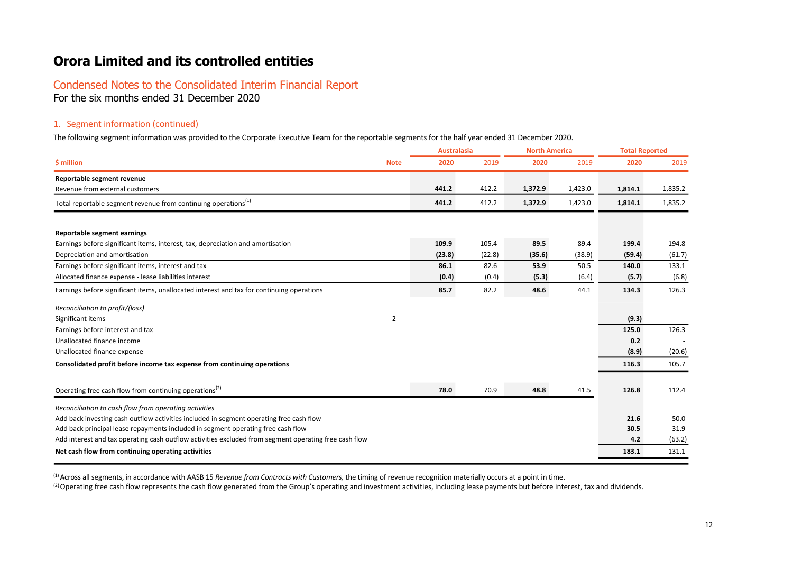# Condensed Notes to the Consolidated Interim Financial Report

For the six months ended 31 December 2020

### 1. Segment information (continued)

The following segment information was provided to the Corporate Executive Team for the reportable segments for the half year ended 31 December 2020.

|                                                                                                       |             |        | <b>Australasia</b> |         | <b>North America</b> |         | <b>Total Reported</b> |  |
|-------------------------------------------------------------------------------------------------------|-------------|--------|--------------------|---------|----------------------|---------|-----------------------|--|
| \$ million                                                                                            | <b>Note</b> | 2020   | 2019               | 2020    | 2019                 | 2020    | 2019                  |  |
| Reportable segment revenue                                                                            |             |        |                    |         |                      |         |                       |  |
| Revenue from external customers                                                                       |             | 441.2  | 412.2              | 1,372.9 | 1,423.0              | 1,814.1 | 1,835.2               |  |
| Total reportable segment revenue from continuing operations <sup>(1)</sup>                            |             | 441.2  | 412.2              | 1,372.9 | 1,423.0              | 1,814.1 | 1,835.2               |  |
| <b>Reportable segment earnings</b>                                                                    |             |        |                    |         |                      |         |                       |  |
| Earnings before significant items, interest, tax, depreciation and amortisation                       |             | 109.9  | 105.4              | 89.5    | 89.4                 | 199.4   | 194.8                 |  |
| Depreciation and amortisation                                                                         |             | (23.8) | (22.8)             | (35.6)  | (38.9)               | (59.4)  | (61.7)                |  |
| Earnings before significant items, interest and tax                                                   |             | 86.1   | 82.6               | 53.9    | 50.5                 | 140.0   | 133.1                 |  |
| Allocated finance expense - lease liabilities interest                                                |             | (0.4)  | (0.4)              | (5.3)   | (6.4)                | (5.7)   | (6.8)                 |  |
| Earnings before significant items, unallocated interest and tax for continuing operations             |             | 85.7   | 82.2               | 48.6    | 44.1                 | 134.3   | 126.3                 |  |
| Reconciliation to profit/(loss)                                                                       |             |        |                    |         |                      |         |                       |  |
| Significant items                                                                                     | 2           |        |                    |         |                      | (9.3)   |                       |  |
| Earnings before interest and tax                                                                      |             |        |                    |         |                      | 125.0   | 126.3                 |  |
| Unallocated finance income                                                                            |             |        |                    |         |                      | 0.2     |                       |  |
| Unallocated finance expense                                                                           |             |        |                    |         |                      | (8.9)   | (20.6)                |  |
| Consolidated profit before income tax expense from continuing operations                              |             |        |                    |         |                      | 116.3   | 105.7                 |  |
| Operating free cash flow from continuing operations <sup>(2)</sup>                                    |             | 78.0   | 70.9               | 48.8    | 41.5                 | 126.8   | 112.4                 |  |
| Reconciliation to cash flow from operating activities                                                 |             |        |                    |         |                      |         |                       |  |
| Add back investing cash outflow activities included in segment operating free cash flow               |             |        |                    |         |                      | 21.6    | 50.0                  |  |
| Add back principal lease repayments included in segment operating free cash flow                      |             |        |                    |         |                      | 30.5    | 31.9                  |  |
| Add interest and tax operating cash outflow activities excluded from segment operating free cash flow |             |        |                    |         |                      | 4.2     | (63.2)                |  |
| Net cash flow from continuing operating activities                                                    |             |        |                    |         |                      | 183.1   | 131.1                 |  |
|                                                                                                       |             |        |                    |         |                      |         |                       |  |

<sup>(1)</sup> Across all segments, in accordance with AASB 15 *Revenue from Contracts with Customers*, the timing of revenue recognition materially occurs at a point in time.

 $^{(2)}$  Operating free cash flow represents the cash flow generated from the Group's operating and investment activities, including lease payments but before interest, tax and dividends.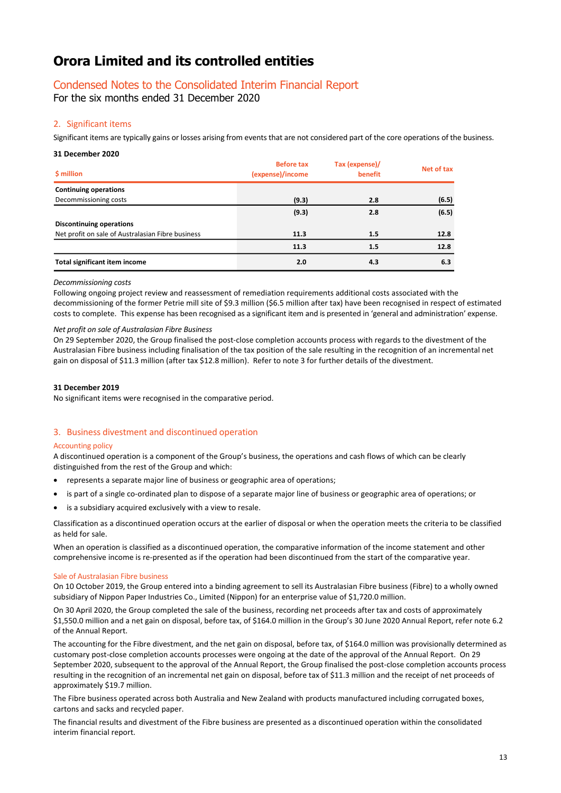### Condensed Notes to the Consolidated Interim Financial Report

For the six months ended 31 December 2020

### 2. Significant items

Significant items are typically gains or losses arising from events that are not considered part of the core operations of the business.

#### **31 December 2020**

| \$ million                                        | <b>Before tax</b><br>(expense)/income | Tax (expense)/<br>benefit | Net of tax |
|---------------------------------------------------|---------------------------------------|---------------------------|------------|
| <b>Continuing operations</b>                      |                                       |                           |            |
| Decommissioning costs                             | (9.3)                                 | 2.8                       | (6.5)      |
|                                                   | (9.3)                                 | 2.8                       | (6.5)      |
| <b>Discontinuing operations</b>                   |                                       |                           |            |
| Net profit on sale of Australasian Fibre business | 11.3                                  | 1.5                       | 12.8       |
|                                                   | 11.3                                  | 1.5                       | 12.8       |
| <b>Total significant item income</b>              | 2.0                                   | 4.3                       | 6.3        |

### *Decommissioning costs*

Following ongoing project review and reassessment of remediation requirements additional costs associated with the decommissioning of the former Petrie mill site of \$9.3 million (\$6.5 million after tax) have been recognised in respect of estimated costs to complete. This expense has been recognised as a significant item and is presented in 'general and administration' expense.

### *Net profit on sale of Australasian Fibre Business*

On 29 September 2020, the Group finalised the post-close completion accounts process with regards to the divestment of the Australasian Fibre business including finalisation of the tax position of the sale resulting in the recognition of an incremental net gain on disposal of \$11.3 million (after tax \$12.8 million). Refer to note 3 for further details of the divestment.

### **31 December 2019**

No significant items were recognised in the comparative period.

### 3. Business divestment and discontinued operation

### Accounting policy

A discontinued operation is a component of the Group's business, the operations and cash flows of which can be clearly distinguished from the rest of the Group and which:

- represents a separate major line of business or geographic area of operations;
- is part of a single co-ordinated plan to dispose of a separate major line of business or geographic area of operations; or
- is a subsidiary acquired exclusively with a view to resale.

Classification as a discontinued operation occurs at the earlier of disposal or when the operation meets the criteria to be classified as held for sale.

When an operation is classified as a discontinued operation, the comparative information of the income statement and other comprehensive income is re-presented as if the operation had been discontinued from the start of the comparative year.

### Sale of Australasian Fibre business

On 10 October 2019, the Group entered into a binding agreement to sell its Australasian Fibre business (Fibre) to a wholly owned subsidiary of Nippon Paper Industries Co., Limited (Nippon) for an enterprise value of \$1,720.0 million.

On 30 April 2020, the Group completed the sale of the business, recording net proceeds after tax and costs of approximately \$1,550.0 million and a net gain on disposal, before tax, of \$164.0 million in the Group's 30 June 2020 Annual Report, refer note 6.2 of the Annual Report.

The accounting for the Fibre divestment, and the net gain on disposal, before tax, of \$164.0 million was provisionally determined as customary post-close completion accounts processes were ongoing at the date of the approval of the Annual Report. On 29 September 2020, subsequent to the approval of the Annual Report, the Group finalised the post-close completion accounts process resulting in the recognition of an incremental net gain on disposal, before tax of \$11.3 million and the receipt of net proceeds of approximately \$19.7 million.

The Fibre business operated across both Australia and New Zealand with products manufactured including corrugated boxes, cartons and sacks and recycled paper.

The financial results and divestment of the Fibre business are presented as a discontinued operation within the consolidated interim financial report.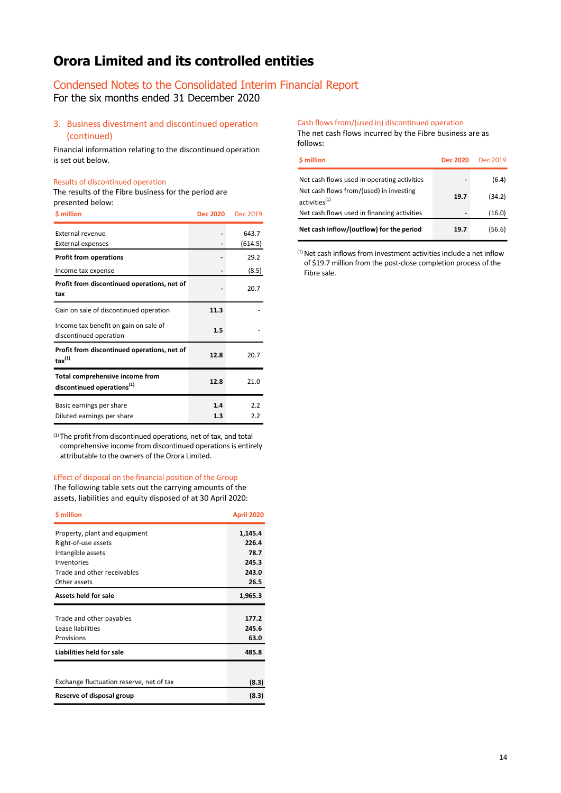### Condensed Notes to the Consolidated Interim Financial Report

For the six months ended 31 December 2020

3. Business divestment and discontinued operation (continued)

Financial information relating to the discontinued operation is set out below.

#### Results of discontinued operation

The results of the Fibre business for the period are presented below:

| <b>S</b> million                                                          | <b>Dec 2020</b> | <b>Dec 2019</b>  |
|---------------------------------------------------------------------------|-----------------|------------------|
| External revenue<br>External expenses                                     |                 | 643.7<br>(614.5) |
| <b>Profit from operations</b>                                             |                 | 29.2             |
| Income tax expense                                                        |                 | (8.5)            |
| Profit from discontinued operations, net of<br>tax                        |                 | 20.7             |
| Gain on sale of discontinued operation                                    | 11.3            |                  |
| Income tax benefit on gain on sale of<br>discontinued operation           | 1.5             |                  |
| Profit from discontinued operations, net of<br>$\text{tax}^{(1)}$         | 12.8            | 20.7             |
| Total comprehensive income from<br>discontinued operations <sup>(1)</sup> | 12.8            | 21.0             |
| Basic earnings per share<br>Diluted earnings per share                    | 1.4<br>1.3      | 2.2<br>2.2       |

(1) The profit from discontinued operations, net of tax, and total comprehensive income from discontinued operations is entirely attributable to the owners of the Orora Limited.

#### Effect of disposal on the financial position of the Group

The following table sets out the carrying amounts of the assets, liabilities and equity disposed of at 30 April 2020:

| <b>S</b> million                         | <b>April 2020</b> |
|------------------------------------------|-------------------|
| Property, plant and equipment            | 1,145.4           |
| Right-of-use assets                      | 226.4             |
| Intangible assets                        | 78.7              |
| Inventories                              | 245.3             |
| Trade and other receivables              | 243.0             |
| Other assets                             | 26.5              |
| Assets held for sale                     | 1,965.3           |
|                                          |                   |
| Trade and other payables                 | 177.2             |
| Lease liabilities                        | 245.6             |
| Provisions                               | 63.0              |
| Liabilities held for sale                | 485.8             |
|                                          |                   |
| Exchange fluctuation reserve, net of tax | (8.3)             |
| Reserve of disposal group                | (8.3)             |

Cash flows from/(used in) discontinued operation The net cash flows incurred by the Fibre business are as follows:

| <b>S</b> million                                                     | <b>Dec 2020</b> | Dec 2019 |
|----------------------------------------------------------------------|-----------------|----------|
| Net cash flows used in operating activities                          |                 | (6.4)    |
| Net cash flows from/(used) in investing<br>activities <sup>(1)</sup> | 19.7            | (34.2)   |
| Net cash flows used in financing activities                          |                 | (16.0)   |
| Net cash inflow/(outflow) for the period                             | 19.7            | (56.6)   |

 $(1)$  Net cash inflows from investment activities include a net inflow of \$19.7 million from the post-close completion process of the Fibre sale.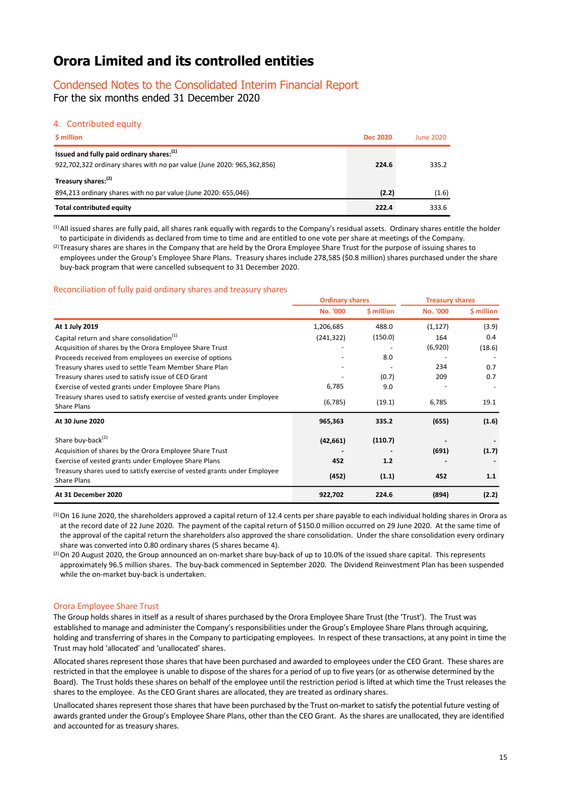### Condensed Notes to the Consolidated Interim Financial Report

For the six months ended 31 December 2020

### 4. Contributed equity

| \$ million                                                                                                                      | <b>Dec 2020</b> | June 2020 |
|---------------------------------------------------------------------------------------------------------------------------------|-----------------|-----------|
| Issued and fully paid ordinary shares: <sup>(1)</sup><br>922,702,322 ordinary shares with no par value (June 2020: 965,362,856) | 224.6           | 335.2     |
| Treasury shares: <sup>(2)</sup>                                                                                                 |                 |           |
| 894,213 ordinary shares with no par value (June 2020: 655,046)                                                                  | (2.2)           | (1.6)     |
| Total contributed equity                                                                                                        | 222.4           | 333.6     |

(1)All issued shares are fully paid, all shares rank equally with regards to the Company's residual assets. Ordinary shares entitle the holder to participate in dividends as declared from time to time and are entitled to one vote per share at meetings of the Company.

 $^{(2)}$ Treasury shares are shares in the Company that are held by the Orora Employee Share Trust for the purpose of issuing shares to employees under the Group's Employee Share Plans. Treasury shares include 278,585 (\$0.8 million) shares purchased under the share buy-back program that were cancelled subsequent to 31 December 2020.

### Reconciliation of fully paid ordinary shares and treasury shares

|                                                                          | <b>Ordinary shares</b> |                  | <b>Treasury shares</b> |            |
|--------------------------------------------------------------------------|------------------------|------------------|------------------------|------------|
|                                                                          | No. '000               | <b>S</b> million | <b>No. '000</b>        | \$ million |
| At 1 July 2019                                                           | 1,206,685              | 488.0            | (1, 127)               | (3.9)      |
| Capital return and share consolidation <sup>(1)</sup>                    | (241, 322)             | (150.0)          | 164                    | 0.4        |
| Acquisition of shares by the Orora Employee Share Trust                  |                        |                  | (6,920)                | (18.6)     |
| Proceeds received from employees on exercise of options                  |                        | 8.0              |                        |            |
| Treasury shares used to settle Team Member Share Plan                    |                        |                  | 234                    | 0.7        |
| Treasury shares used to satisfy issue of CEO Grant                       |                        | (0.7)            | 209                    | 0.7        |
| Exercise of vested grants under Employee Share Plans                     | 6,785                  | 9.0              |                        |            |
| Treasury shares used to satisfy exercise of vested grants under Employee | (6,785)                | (19.1)           | 6,785                  | 19.1       |
| Share Plans                                                              |                        |                  |                        |            |
| At 30 June 2020                                                          | 965,363                | 335.2            | (655)                  | (1.6)      |
| Share buy-back <sup>(2)</sup>                                            | (42, 661)              | (110.7)          |                        |            |
| Acquisition of shares by the Orora Employee Share Trust                  |                        |                  | (691)                  | (1.7)      |
| Exercise of vested grants under Employee Share Plans                     | 452                    | 1.2              |                        |            |
| Treasury shares used to satisfy exercise of vested grants under Employee |                        |                  |                        |            |
| Share Plans                                                              | (452)                  | (1.1)            | 452                    | 1.1        |
| At 31 December 2020                                                      | 922,702                | 224.6            | (894)                  | (2.2)      |

 $<sup>(1)</sup>$ On 16 June 2020, the shareholders approved a capital return of 12.4 cents per share payable to each individual holding shares in Orora as</sup> at the record date of 22 June 2020. The payment of the capital return of \$150.0 million occurred on 29 June 2020. At the same time of the approval of the capital return the shareholders also approved the share consolidation. Under the share consolidation every ordinary share was converted into 0.80 ordinary shares (5 shares became 4).

 $^{(2)}$  On 20 August 2020, the Group announced an on-market share buy-back of up to 10.0% of the issued share capital. This represents approximately 96.5 million shares. The buy-back commenced in September 2020. The Dividend Reinvestment Plan has been suspended while the on-market buy-back is undertaken.

### Orora Employee Share Trust

The Group holds shares in itself as a result of shares purchased by the Orora Employee Share Trust (the 'Trust'). The Trust was established to manage and administer the Company's responsibilities under the Group's Employee Share Plans through acquiring, holding and transferring of shares in the Company to participating employees. In respect of these transactions, at any point in time the Trust may hold 'allocated' and 'unallocated' shares.

Allocated shares represent those shares that have been purchased and awarded to employees under the CEO Grant. These shares are restricted in that the employee is unable to dispose of the shares for a period of up to five years (or as otherwise determined by the Board). The Trust holds these shares on behalf of the employee until the restriction period is lifted at which time the Trust releases the shares to the employee. As the CEO Grant shares are allocated, they are treated as ordinary shares.

Unallocated shares represent those shares that have been purchased by the Trust on-market to satisfy the potential future vesting of awards granted under the Group's Employee Share Plans, other than the CEO Grant. As the shares are unallocated, they are identified and accounted for as treasury shares.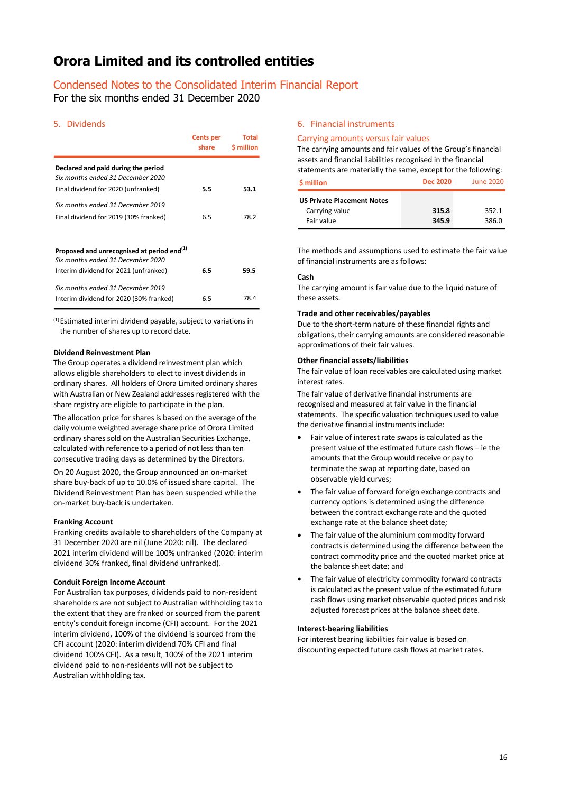### Condensed Notes to the Consolidated Interim Financial Report

For the six months ended 31 December 2020

### 5. Dividends

|                                                                                             | <b>Cents per</b><br>share | <b>Total</b><br><b>S</b> million |
|---------------------------------------------------------------------------------------------|---------------------------|----------------------------------|
| Declared and paid during the period<br>Six months ended 31 December 2020                    |                           |                                  |
| Final dividend for 2020 (unfranked)                                                         | 5.5                       | 53.1                             |
| Six months ended 31 December 2019                                                           |                           |                                  |
| Final dividend for 2019 (30% franked)                                                       | 6.5                       | 78.2                             |
|                                                                                             |                           |                                  |
| Proposed and unrecognised at period end <sup>(1)</sup><br>Six months ended 31 December 2020 |                           |                                  |
| Interim dividend for 2021 (unfranked)                                                       | 6.5                       | 59.5                             |
| Six months ended 31 December 2019<br>Interim dividend for 2020 (30% franked)                | 6.5                       | 78.4                             |
|                                                                                             |                           |                                  |

<sup>(1)</sup> Estimated interim dividend payable, subject to variations in the number of shares up to record date.

### **Dividend Reinvestment Plan**

The Group operates a dividend reinvestment plan which allows eligible shareholders to elect to invest dividends in ordinary shares. All holders of Orora Limited ordinary shares with Australian or New Zealand addresses registered with the share registry are eligible to participate in the plan.

The allocation price for shares is based on the average of the daily volume weighted average share price of Orora Limited ordinary shares sold on the Australian Securities Exchange, calculated with reference to a period of not less than ten consecutive trading days as determined by the Directors.

On 20 August 2020, the Group announced an on-market share buy-back of up to 10.0% of issued share capital. The Dividend Reinvestment Plan has been suspended while the on-market buy-back is undertaken.

### **Franking Account**

Franking credits available to shareholders of the Company at 31 December 2020 are nil (June 2020: nil). The declared 2021 interim dividend will be 100% unfranked (2020: interim dividend 30% franked, final dividend unfranked).

#### **Conduit Foreign Income Account**

For Australian tax purposes, dividends paid to non-resident shareholders are not subject to Australian withholding tax to the extent that they are franked or sourced from the parent entity's conduit foreign income (CFI) account. For the 2021 interim dividend, 100% of the dividend is sourced from the CFI account (2020: interim dividend 70% CFI and final dividend 100% CFI). As a result, 100% of the 2021 interim dividend paid to non-residents will not be subject to Australian withholding tax.

### 6. Financial instruments

### Carrying amounts versus fair values

The carrying amounts and fair values of the Group's financial assets and financial liabilities recognised in the financial statements are materially the same, except for the following:

| <b>S</b> million                  | <b>Dec 2020</b> | June 2020 |
|-----------------------------------|-----------------|-----------|
| <b>US Private Placement Notes</b> |                 |           |
| Carrying value                    | 315.8           | 352.1     |
| Fair value                        | 345.9           | 386.0     |

The methods and assumptions used to estimate the fair value of financial instruments are as follows:

### **Cash**

The carrying amount is fair value due to the liquid nature of these assets.

#### **Trade and other receivables/payables**

Due to the short-term nature of these financial rights and obligations, their carrying amounts are considered reasonable approximations of their fair values.

### **Other financial assets/liabilities**

The fair value of loan receivables are calculated using market interest rates.

The fair value of derivative financial instruments are recognised and measured at fair value in the financial statements. The specific valuation techniques used to value the derivative financial instruments include:

- Fair value of interest rate swaps is calculated as the present value of the estimated future cash flows – ie the amounts that the Group would receive or pay to terminate the swap at reporting date, based on observable yield curves;
- The fair value of forward foreign exchange contracts and currency options is determined using the difference between the contract exchange rate and the quoted exchange rate at the balance sheet date;
- The fair value of the aluminium commodity forward contracts is determined using the difference between the contract commodity price and the quoted market price at the balance sheet date; and
- The fair value of electricity commodity forward contracts is calculated as the present value of the estimated future cash flows using market observable quoted prices and risk adjusted forecast prices at the balance sheet date.

### **Interest-bearing liabilities**

For interest bearing liabilities fair value is based on discounting expected future cash flows at market rates.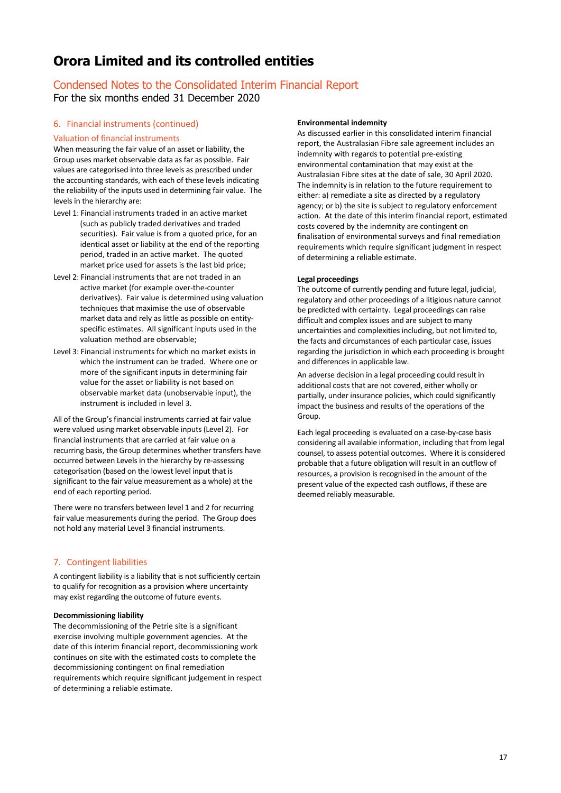# Condensed Notes to the Consolidated Interim Financial Report

For the six months ended 31 December 2020

### 6. Financial instruments (continued)

### Valuation of financial instruments

When measuring the fair value of an asset or liability, the Group uses market observable data as far as possible. Fair values are categorised into three levels as prescribed under the accounting standards, with each of these levels indicating the reliability of the inputs used in determining fair value. The levels in the hierarchy are:

- Level 1: Financial instruments traded in an active market (such as publicly traded derivatives and traded securities). Fair value is from a quoted price, for an identical asset or liability at the end of the reporting period, traded in an active market. The quoted market price used for assets is the last bid price;
- Level 2: Financial instruments that are not traded in an active market (for example over-the-counter derivatives). Fair value is determined using valuation techniques that maximise the use of observable market data and rely as little as possible on entityspecific estimates. All significant inputs used in the valuation method are observable;
- Level 3: Financial instruments for which no market exists in which the instrument can be traded. Where one or more of the significant inputs in determining fair value for the asset or liability is not based on observable market data (unobservable input), the instrument is included in level 3.

All of the Group's financial instruments carried at fair value were valued using market observable inputs (Level 2). For financial instruments that are carried at fair value on a recurring basis, the Group determines whether transfers have occurred between Levels in the hierarchy by re-assessing categorisation (based on the lowest level input that is significant to the fair value measurement as a whole) at the end of each reporting period.

There were no transfers between level 1 and 2 for recurring fair value measurements during the period. The Group does not hold any material Level 3 financial instruments.

### 7. Contingent liabilities

A contingent liability is a liability that is not sufficiently certain to qualify for recognition as a provision where uncertainty may exist regarding the outcome of future events.

### **Decommissioning liability**

The decommissioning of the Petrie site is a significant exercise involving multiple government agencies. At the date of this interim financial report, decommissioning work continues on site with the estimated costs to complete the decommissioning contingent on final remediation requirements which require significant judgement in respect of determining a reliable estimate.

### **Environmental indemnity**

As discussed earlier in this consolidated interim financial report, the Australasian Fibre sale agreement includes an indemnity with regards to potential pre-existing environmental contamination that may exist at the Australasian Fibre sites at the date of sale, 30 April 2020. The indemnity is in relation to the future requirement to either: a) remediate a site as directed by a regulatory agency; or b) the site is subject to regulatory enforcement action. At the date of this interim financial report, estimated costs covered by the indemnity are contingent on finalisation of environmental surveys and final remediation requirements which require significant judgment in respect of determining a reliable estimate.

### **Legal proceedings**

The outcome of currently pending and future legal, judicial, regulatory and other proceedings of a litigious nature cannot be predicted with certainty. Legal proceedings can raise difficult and complex issues and are subject to many uncertainties and complexities including, but not limited to, the facts and circumstances of each particular case, issues regarding the jurisdiction in which each proceeding is brought and differences in applicable law.

An adverse decision in a legal proceeding could result in additional costs that are not covered, either wholly or partially, under insurance policies, which could significantly impact the business and results of the operations of the Group.

Each legal proceeding is evaluated on a case-by-case basis considering all available information, including that from legal counsel, to assess potential outcomes. Where it is considered probable that a future obligation will result in an outflow of resources, a provision is recognised in the amount of the present value of the expected cash outflows, if these are deemed reliably measurable.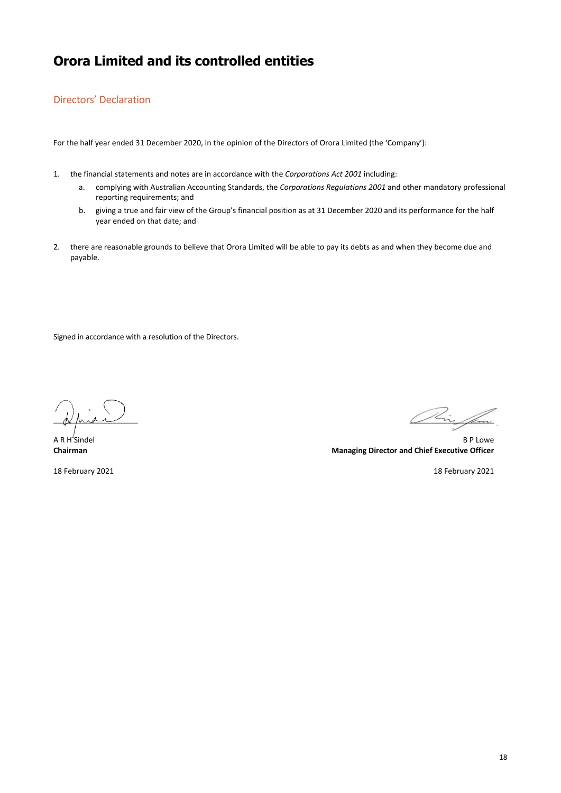### Directors' Declaration

For the half year ended 31 December 2020, in the opinion of the Directors of Orora Limited (the 'Company'):

- 1. the financial statements and notes are in accordance with the *Corporations Act 2001* including:
	- a. complying with Australian Accounting Standards, the *Corporations Regulations 2001* and other mandatory professional reporting requirements; and
	- b. giving a true and fair view of the Group's financial position as at 31 December 2020 and its performance for the half year ended on that date; and
- 2. there are reasonable grounds to believe that Orora Limited will be able to pay its debts as and when they become due and payable.

Signed in accordance with a resolution of the Directors.

18 February 2021 18 February 2021

 $\mathscr{D}\zeta_{\dot{\mathbf{m}}}\mathscr{D}$ 

A R H Sindel B P Lowe **Chairman Managing Director and Chief Executive Officer**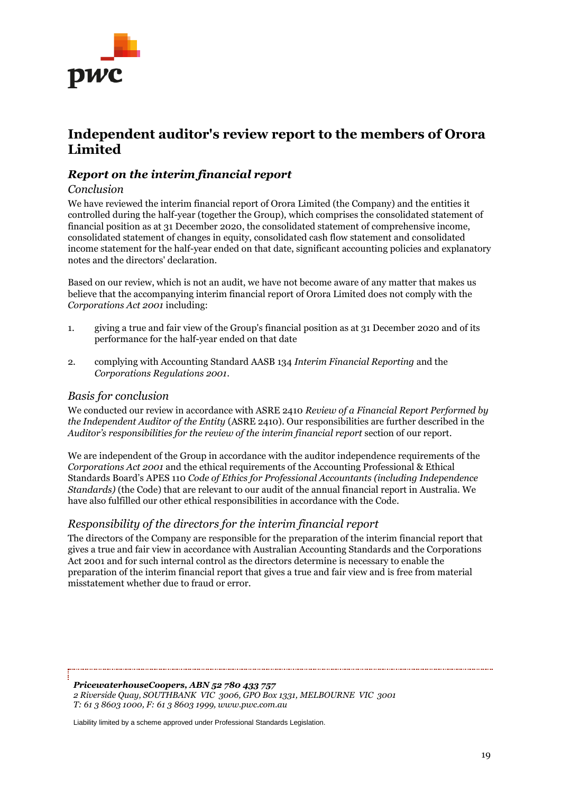

# **Independent auditor's review report to the members of Orora Limited**

### *Report on the interim financial report*

### *Conclusion*

We have reviewed the interim financial report of Orora Limited (the Company) and the entities it controlled during the half-year (together the Group), which comprises the consolidated statement of financial position as at 31 December 2020, the consolidated statement of comprehensive income, consolidated statement of changes in equity, consolidated cash flow statement and consolidated income statement for the half-year ended on that date, significant accounting policies and explanatory notes and the directors' declaration.

Based on our review, which is not an audit, we have not become aware of any matter that makes us believe that the accompanying interim financial report of Orora Limited does not comply with the *Corporations Act 2001* including:

- 1. giving a true and fair view of the Group's financial position as at 31 December 2020 and of its performance for the half-year ended on that date
- 2. complying with Accounting Standard AASB 134 *Interim Financial Reporting* and the *Corporations Regulations 2001*.

### *Basis for conclusion*

We conducted our review in accordance with ASRE 2410 *Review of a Financial Report Performed by the Independent Auditor of the Entity* (ASRE 2410). Our responsibilities are further described in the *Auditor's responsibilities for the review of the interim financial report* section of our report.

We are independent of the Group in accordance with the auditor independence requirements of the *Corporations Act 2001* and the ethical requirements of the Accounting Professional & Ethical Standards Board's APES 110 *Code of Ethics for Professional Accountants (including Independence Standards)* (the Code) that are relevant to our audit of the annual financial report in Australia. We have also fulfilled our other ethical responsibilities in accordance with the Code.

### *Responsibility of the directors for the interim financial report*

The directors of the Company are responsible for the preparation of the interim financial report that gives a true and fair view in accordance with Australian Accounting Standards and the Corporations Act 2001 and for such internal control as the directors determine is necessary to enable the preparation of the interim financial report that gives a true and fair view and is free from material misstatement whether due to fraud or error.

*PricewaterhouseCoopers, ABN 52 780 433 757 2 Riverside Quay, SOUTHBANK VIC 3006, GPO Box 1331, MELBOURNE VIC 3001 T: 61 3 8603 1000, F: 61 3 8603 1999, www.pwc.com.au*

Liability limited by a scheme approved under Professional Standards Legislation.